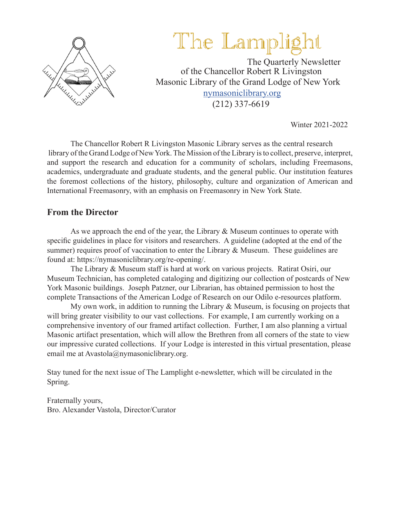

# The Lamplight

 The Quarterly Newsletter of the Chancellor Robert R Livingston Masonic Library of the Grand Lodge of New York nymasoniclibrary.org (212) 337-6619

Winter 2021-2022

The Chancellor Robert R Livingston Masonic Library serves as the central research library of the Grand Lodge of New York. The Mission of the Library is to collect, preserve, interpret, and support the research and education for a community of scholars, including Freemasons, academics, undergraduate and graduate students, and the general public. Our institution features the foremost collections of the history, philosophy, culture and organization of American and International Freemasonry, with an emphasis on Freemasonry in New York State.

### **From the Director**

As we approach the end of the year, the Library  $\&$  Museum continues to operate with specific guidelines in place for visitors and researchers. A guideline (adopted at the end of the summer) requires proof of vaccination to enter the Library & Museum. These guidelines are found at: https://nymasoniclibrary.org/re-opening/.

The Library & Museum staff is hard at work on various projects. Ratirat Osiri, our Museum Technician, has completed cataloging and digitizing our collection of postcards of New York Masonic buildings. Joseph Patzner, our Librarian, has obtained permission to host the complete Transactions of the American Lodge of Research on our Odilo e-resources platform.

My own work, in addition to running the Library  $\&$  Museum, is focusing on projects that will bring greater visibility to our vast collections. For example, I am currently working on a comprehensive inventory of our framed artifact collection. Further, I am also planning a virtual Masonic artifact presentation, which will allow the Brethren from all corners of the state to view our impressive curated collections. If your Lodge is interested in this virtual presentation, please email me at Avastola@nymasoniclibrary.org.

Stay tuned for the next issue of The Lamplight e-newsletter, which will be circulated in the Spring.

Fraternally yours, Bro. Alexander Vastola, Director/Curator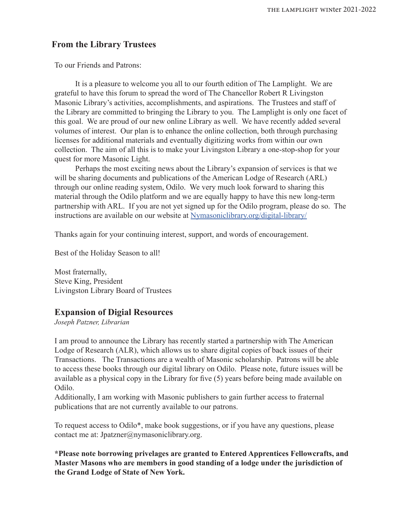### **From the Library Trustees**

To our Friends and Patrons:

It is a pleasure to welcome you all to our fourth edition of The Lamplight. We are grateful to have this forum to spread the word of The Chancellor Robert R Livingston Masonic Library's activities, accomplishments, and aspirations. The Trustees and staff of the Library are committed to bringing the Library to you. The Lamplight is only one facet of this goal. We are proud of our new online Library as well. We have recently added several volumes of interest. Our plan is to enhance the online collection, both through purchasing licenses for additional materials and eventually digitizing works from within our own collection. The aim of all this is to make your Livingston Library a one-stop-shop for your quest for more Masonic Light.

Perhaps the most exciting news about the Library's expansion of services is that we will be sharing documents and publications of the American Lodge of Research (ARL) through our online reading system, Odilo. We very much look forward to sharing this material through the Odilo platform and we are equally happy to have this new long-term partnership with ARL. If you are not yet signed up for the Odilo program, please do so. The instructions are available on our website at Nymasoniclibrary.org/digital-library/

Thanks again for your continuing interest, support, and words of encouragement.

Best of the Holiday Season to all!

Most fraternally, Steve King, President Livingston Library Board of Trustees

#### **Expansion of Digial Resources**

*Joseph Patzner, Librarian*

I am proud to announce the Library has recently started a partnership with The American Lodge of Research (ALR), which allows us to share digital copies of back issues of their Transactions. The Transactions are a wealth of Masonic scholarship. Patrons will be able to access these books through our digital library on Odilo. Please note, future issues will be available as a physical copy in the Library for five (5) years before being made available on Odilo.

Additionally, I am working with Masonic publishers to gain further access to fraternal publications that are not currently available to our patrons.

To request access to Odilo\*, make book suggestions, or if you have any questions, please contact me at: Jpatzner@nymasoniclibrary.org.

**\*Please note borrowing privelages are granted to Entered Apprentices Fellowcrafts, and Master Masons who are members in good standing of a lodge under the jurisdiction of the Grand Lodge of State of New York.**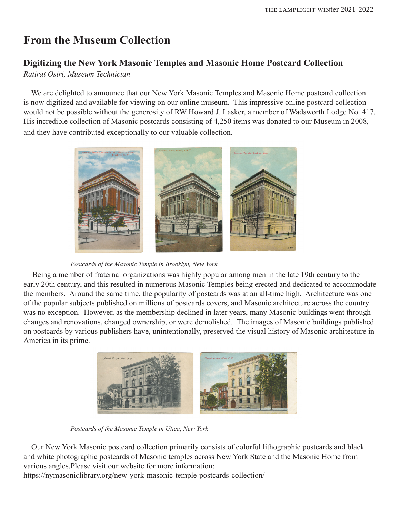# **From the Museum Collection**

### **Digitizing the New York Masonic Temples and Masonic Home Postcard Collection**

*Ratirat Osiri, Museum Technician*

 We are delighted to announce that our New York Masonic Temples and Masonic Home postcard collection is now digitized and available for viewing on our online museum. This impressive online postcard collection would not be possible without the generosity of RW Howard J. Lasker, a member of Wadsworth Lodge No. 417. His incredible collection of Masonic postcards consisting of 4,250 items was donated to our Museum in 2008, and they have contributed exceptionally to our valuable collection.



*Postcards of the Masonic Temple in Brooklyn, New York*

 Being a member of fraternal organizations was highly popular among men in the late 19th century to the early 20th century, and this resulted in numerous Masonic Temples being erected and dedicated to accommodate the members. Around the same time, the popularity of postcards was at an all-time high. Architecture was one of the popular subjects published on millions of postcards covers, and Masonic architecture across the country was no exception. However, as the membership declined in later years, many Masonic buildings went through changes and renovations, changed ownership, or were demolished. The images of Masonic buildings published on postcards by various publishers have, unintentionally, preserved the visual history of Masonic architecture in America in its prime.



*Postcards of the Masonic Temple in Utica, New York*

 Our New York Masonic postcard collection primarily consists of colorful lithographic postcards and black and white photographic postcards of Masonic temples across New York State and the Masonic Home from various angles.Please visit our website for more information:

https://nymasoniclibrary.org/new-york-masonic-temple-postcards-collection/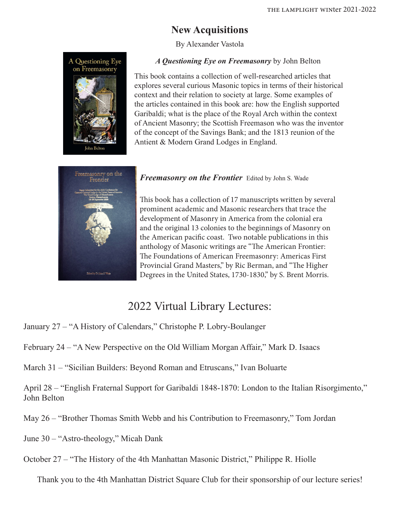### **New Acquisitions**

By Alexander Vastola



*A Questioning Eye on Freemasonry* by John Belton

This book contains a collection of well-researched articles that explores several curious Masonic topics in terms of their historical context and their relation to society at large. Some examples of the articles contained in this book are: how the English supported Garibaldi; what is the place of the Royal Arch within the context of Ancient Masonry; the Scottish Freemason who was the inventor of the concept of the Savings Bank; and the 1813 reunion of the Antient & Modern Grand Lodges in England.



*Freemasonry on the Frontier* Edited by John S. Wade

This book has a collection of 17 manuscripts written by several prominent academic and Masonic researchers that trace the development of Masonry in America from the colonial era and the original 13 colonies to the beginnings of Masonry on the American pacific coast. Two notable publications in this anthology of Masonic writings are "The American Frontier: The Foundations of American Freemasonry: Americas First Provincial Grand Masters," by Ric Berman, and "The Higher Degrees in the United States, 1730-1830," by S. Brent Morris.

# 2022 Virtual Library Lectures:

- January 27 "A History of Calendars," Christophe P. Lobry-Boulanger
- February 24 "A New Perspective on the Old William Morgan Affair," Mark D. Isaacs
- March 31 "Sicilian Builders: Beyond Roman and Etruscans," Ivan Boluarte
- April 28 "English Fraternal Support for Garibaldi 1848-1870: London to the Italian Risorgimento," John Belton
- May 26 "Brother Thomas Smith Webb and his Contribution to Freemasonry," Tom Jordan
- June 30 "Astro-theology," Micah Dank
- October 27 "The History of the 4th Manhattan Masonic District," Philippe R. Hiolle

Thank you to the 4th Manhattan District Square Club for their sponsorship of our lecture series!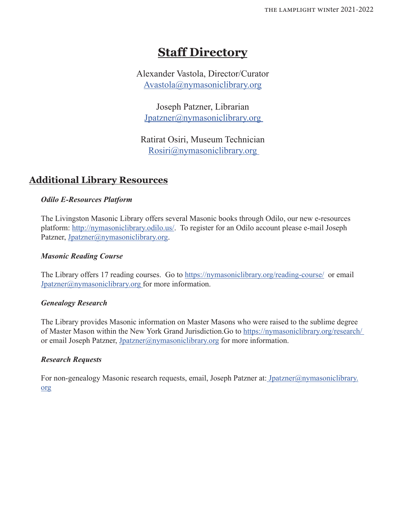# **Staff Directory**

Alexander Vastola, Director/Curator Avastola@nymasoniclibrary.org

Joseph Patzner, Librarian Jpatzner@nymasoniclibrary.org

Ratirat Osiri, Museum Technician Rosiri@nymasoniclibrary.org

### **Additional Library Resources**

### *Odilo E-Resources Platform*

The Livingston Masonic Library offers several Masonic books through Odilo, our new e-resources platform: http://nymasoniclibrary.odilo.us/. To register for an Odilo account please e-mail Joseph Patzner, Jpatzner@nymasoniclibrary.org.

### *Masonic Reading Course*

The Library offers 17 reading courses. Go to https://nymasoniclibrary.org/reading-course/ or email Jpatzner@nymasoniclibrary.org for more information.

#### *Genealogy Research*

The Library provides Masonic information on Master Masons who were raised to the sublime degree of Master Mason within the New York Grand Jurisdiction.Go to https://nymasoniclibrary.org/research/ or email Joseph Patzner, Jpatzner@nymasoniclibrary.org for more information.

#### *Research Requests*

For non-genealogy Masonic research requests, email, Joseph Patzner at: Jpatzner@nymasoniclibrary. org